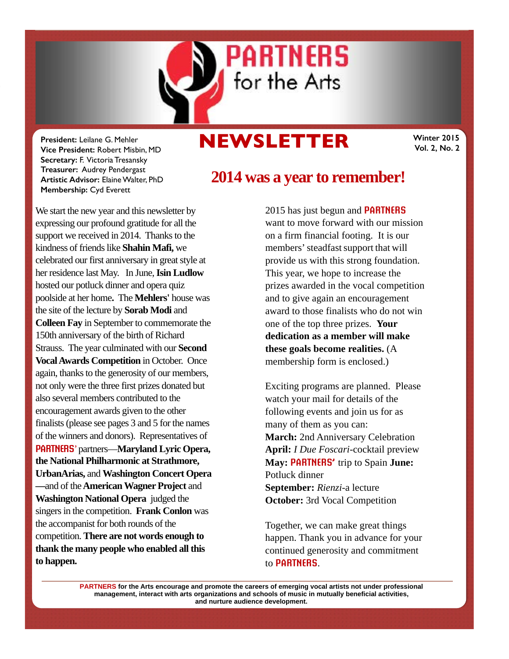

# **NEWSLETTER**

**Winter 2015 Vol. 2, No. 2** 

**President:** Leilane G. Mehler **Vice President:** Robert Misbin, MD **Secretary:** F. Victoria Tresansky **Treasurer:** Audrey Pendergast **Artistic Advisor:** Elaine Walter, PhD **Membership:** Cyd Everett

We start the new year and this newsletter by expressing our profound gratitude for all the support we received in 2014. Thanks to the kindness of friends like **Shahin Mafi,** we celebrated our first anniversary in great style at her residence last May. In June,**Isin Ludlow**  hosted our potluck dinner and opera quiz poolside at her home**.** The **Mehlers'** house was the site of the lecture by **Sorab Modi** and **Colleen Fay** in September to commemorate the 150th anniversary of the birth of Richard Strauss. The year culminated with our **Second VocalAwards Competition** in October. Once again, thanks to the generosity of our members, not only were the three first prizes donated but also several members contributed to the encouragement awards given to the other finalists (please see pages 3 and 5 for the names of the winners and donors). Representatives of **PARTNERS**' partners—**Maryland Lyric Opera, the National Philharmonic at Strathmore, UrbanArias,** and **Washington Concert Opera —**and of the **AmericanWagner Project** and **Washington National Opera** judged the singers in the competition. **Frank Conlon** was the accompanist for both rounds of the competition. **There are not words enough to thank the many people who enabled all this to happen.** 

# **2014 was a year to remember!**

2015 has just begun and **PARTNERS** want to move forward with our mission on a firm financial footing. It is our members' steadfast support that will provide us with this strong foundation. This year, we hope to increase the prizes awarded in the vocal competition and to give again an encouragement award to those finalists who do not win one of the top three prizes. **Your dedication as a member will make these goals become realities.** (A membership form is enclosed.)

Exciting programs are planned. Please watch your mail for details of the following events and join us for as many of them as you can: **March:** 2nd Anniversary Celebration **April:** *I Due Foscari-*cocktail preview **May: PARTNERS'** trip to Spain **June:**  Potluck dinner **September:** *Rienzi-*a lecture **October:** 3rd Vocal Competition

Together, we can make great things happen. Thank you in advance for your continued generosity and commitment to **PARTNERS**.

**PARTNERS for the Arts encourage and promote the careers of emerging vocal artists not under professional management, interact with arts organizations and schools of music in mutually beneficial activities, and nurture audience development.**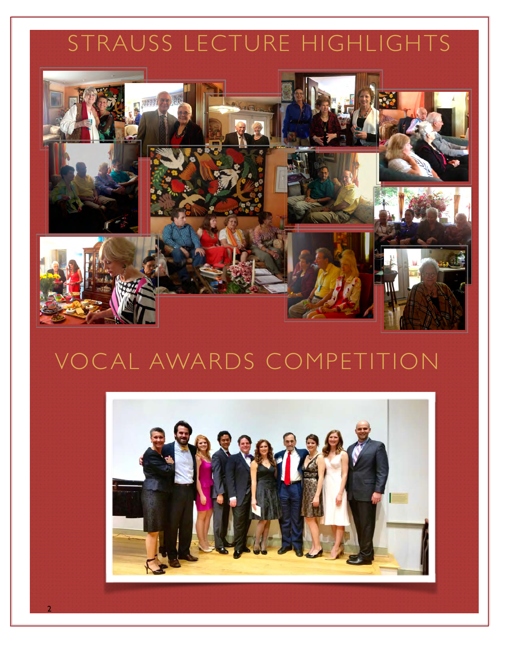# STRAUSS LECTURE HIGHLIGHTS



# VOCAL AWARDS COMPETITION



2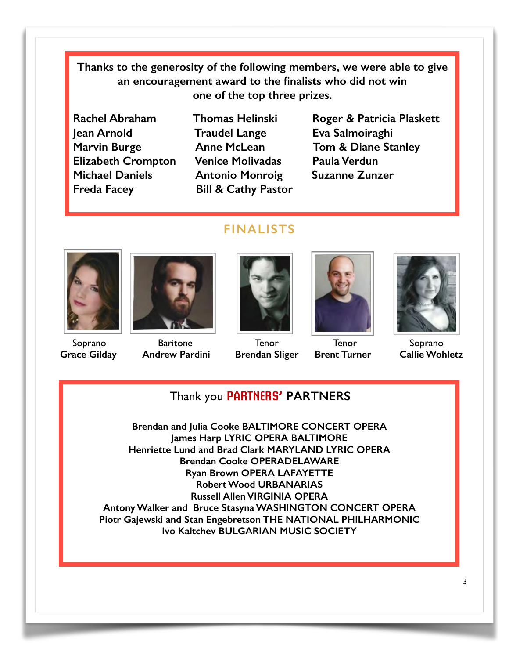**Thanks to the generosity of the following members, we were able to give an encouragement award to the finalists who did not win one of the top three prizes.** 

- **Jean Arnold Traudel Lange Eva Salmoiraghi Elizabeth Crompton Venice Molivadas Paula Verdun Michael Daniels Antonio Monroig Suzanne Zunzer Freda Facey Bill & Cathy Pastor**
- 
- Rachel Abraham Thomas Helinski Roger & Patricia Plaskett Marvin Burge **Anne McLean** Tom & Diane Stanley

#### **FINALISTS**



 Soprano  **Grace Gilday**



Baritone  **Andrew Pardini**



**Tenor Brendan Sliger**



**Tenor Brent Turner**



Soprano  **Callie Wohletz**

#### Thank you **PARTNERS' PARTNERS**

**Brendan and Julia Cooke BALTIMORE CONCERT OPERA James Harp LYRIC OPERA BALTIMORE Henriette Lund and Brad Clark MARYLAND LYRIC OPERA Brendan Cooke OPERADELAWARE Ryan Brown OPERA LAFAYETTE Robert Wood URBANARIAS Russell Allen VIRGINIA OPERA Antony Walker and Bruce Stasyna WASHINGTON CONCERT OPERA Piotr Gajewski and Stan Engebretson THE NATIONAL PHILHARMONIC Ivo Kaltchev BULGARIAN MUSIC SOCIETY**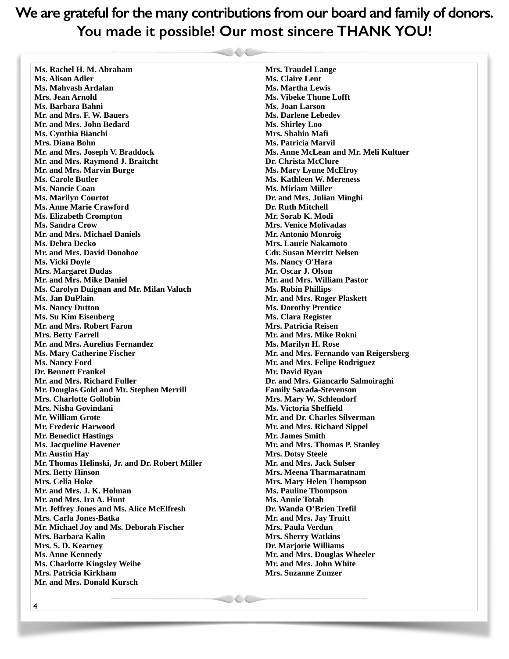**We are grateful for the many contributions from our board and family of donors. You made it possible! Our most sincere THANK YOU!**

**Ms. Rachel H. M. Abraham Ms. Alison Adler Ms. Mahvash Ardalan Mrs. Jean Arnold Ms. Barbara Bahni Mr. and Mrs. F. W. Bauers Mr. and Mrs. John Bedard Ms. Cynthia Bianchi Mrs. Diana Bohn Mr. and Mrs. Joseph V. Braddock Mr. and Mrs. Raymond J. Braitcht Mr. and Mrs. Marvin Burge Ms. Carole Butler Ms. Nancie Coan Ms. Marilyn Courtot Ms. Anne Marie Crawford Ms. Elizabeth Crompton Ms. Sandra Crow Mr. and Mrs. Michael Daniels Ms. Debra Decko Mr. and Mrs. David Donohoe Ms. Vicki Doyle Mrs. Margaret Dudas Mr. and Mrs. Mike Daniel Ms. Carolyn Duignan and Mr. Milan Valuch Ms. Jan DuPlain Ms. Nancy Dutton Ms. Su Kim Eisenberg Mr. and Mrs. Robert Faron Mrs. Betty Farrell Mr. and Mrs. Aurelius Fernandez Ms. Mary Catherine Fischer Ms. Nancy Ford Dr. Bennett Frankel Mr. and Mrs. Richard Fuller Mr. Douglas Gold and Mr. Stephen Merrill Mrs. Charlotte Gollobin Mrs. Nisha Govindani Mr. William Grote Mr. Frederic Harwood Mr. Benedict Hastings Ms. Jacqueline Havener Mr. Austin Hay Mr. Thomas Helinski, Jr. and Dr. Robert Miller Mrs. Betty Hinson Mrs. Celia Hoke Mr. and Mrs. J. K. Holman Mr. and Mrs. Ira A. Hunt Mr. Jeffrey Jones and Ms. Alice McElfresh Mrs. Carla Jones-Batka Mr. Michael Joy and Ms. Deborah Fischer Mrs. Barbara Kalin Mrs. S. D. Kearney Ms. Anne Kennedy Ms. Charlotte Kingsley Weihe Mrs. Patricia Kirkham Mr. and Mrs. Donald Kursch** 

**Mrs. Traudel Lange Ms. Claire Lent Ms. Martha Lewis Ms. Vibeke Thune Lofft Ms. Joan Larson Ms. Darlene Lebedev Ms. Shirley Loo Mrs. Shahin Mafi Ms. Patricia Marvil Ms. Anne McLean and Mr. Meli Kultuer Dr. Christa McClure Ms. Mary Lynne McElroy Ms. Kathleen W. Mereness Ms. Miriam Miller Dr. and Mrs. Julian Minghi Dr. Ruth Mitchell Mr. Sorab K. Modi Mrs. Venice Molivadas Mr. Antonio Monroig Mrs. Laurie Nakamoto Cdr. Susan Merritt Nelsen Ms. Nancy O'Hara Mr. Oscar J. Olson Mr. and Mrs. William Pastor Ms. Robin Phillips Mr. and Mrs. Roger Plaskett Ms. Dorothy Prentice Ms. Clara Register Mrs. Patricia Reisen Mr. and Mrs. Mike Rokni Ms. Marilyn H. Rose Mr. and Mrs. Fernando van Reigersberg Mr. and Mrs. Felipe Rodriguez Mr. David Ryan Dr. and Mrs. Giancarlo Salmoiraghi Family Savada-Stevenson Mrs. Mary W. Schlendorf Ms. Victoria Sheffield Mr. and Dr. Charles Silverman Mr. and Mrs. Richard Sippel Mr. James Smith Mr. and Mrs. Thomas P. Stanley Mrs. Dotsy Steele Mr. and Mrs. Jack Sulser Mrs. Meena Tharmaratnam Mrs. Mary Helen Thompson Ms. Pauline Thompson Ms. Annie Totah Dr. Wanda O'Brien Trefil Mr. and Mrs. Jay Truitt Mrs. Paula Verdun Mrs. Sherry Watkins Dr. Marjorie Williams Mr. and Mrs. Douglas Wheeler Mr. and Mrs. John White Mrs. Suzanne Zunzer**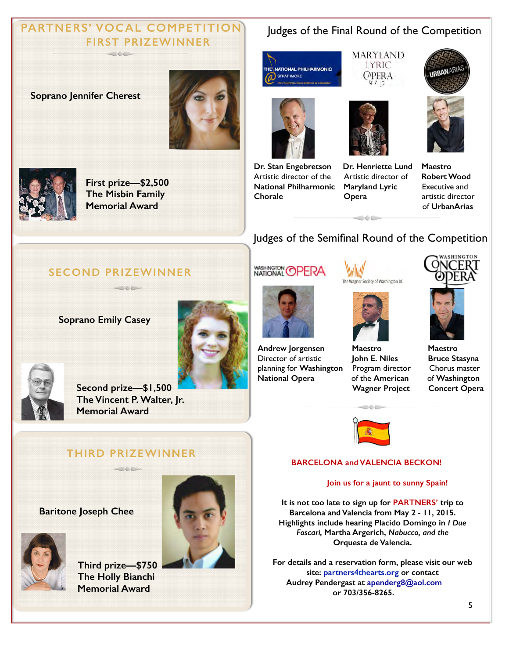#### **PARTNERS' VOCAL COMPETITION FIRST PRIZEWINNER**  $\sim$  6.6  $\sim$

#### **Soprano Jennifer Cherest**





**First prize—\$2,500 The Misbin Family Memorial Award** 

### Judges of the Final Round of the Competition

**MARYLAND** LYRIC

OPERA





**Dr. Stan Engebretson Dr. Henriette Lund Maestro**  Artistic director of the Artistic director of **Robert Wood National Philharmonic Maryland Lyric** Executive and **Chorale Opera artistic director** 





of **UrbanArias**

### Judges of the Semifinal Round of the Competition

 $\circ\circ$ 

#### **SECOND PRIZEWINNER**

**Soprano Emily Casey** 









**Andrew Jorgensen Maestro Maestro**  Director of artistic **John E. Niles Bruce Stasyna**  planning for **Washington** Program director Chorus master **National Opera** of the **American** of **Washington**





**Wagner Project Concert Opera** 



 $\circ \circ \circ$ 

#### **BARCELONA and VALENCIA BECKON!**

#### **Join us for a jaunt to sunny Spain!**

**It is not too late to sign up for PARTNERS' trip to Barcelona and Valencia from May 2 - 11, 2015. Highlights include hearing Placido Domingo in** *I Due Foscari,* **Martha Argerich,** *Nabucco, and the*  **Orquesta de Valencia.** 

**For details and a reservation form, please visit our web site: partners4thearts.org or contact Audrey Pendergast at [apenderg8@aol.com](mailto:apenderg8@aol.com?subject=) or 703/356-8265.** 



**Second prize—\$1,500 The Vincent P. Walter, Jr. Memorial Award** 

#### **THIRD PRIZEWINNER COLORED AND**

#### **Baritone Joseph Chee**



**Third prize—\$750 The Holly Bianchi Memorial Award**